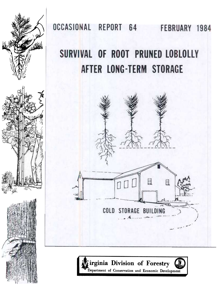

OCCASIONAL REPORT 64 FEBRUARY 1984

# SURVIVAL OF ROOT PRUNED LOBLOLLY AFTER LONG-TERM STORAGE



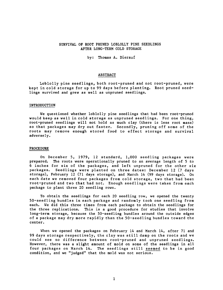### SURVIVAL OF ROOT PRUNED LOBLOLLY PINE SEEDLINGS AFTER LONG-TERM COLD STORAGE

by: Thomas A. Dierauf

## ABSTRACT

Loblolly pine seedlings, both root-pruned and not root-pruned, were kept in cold storage for up to 99 days before planting. Root pruned seedlings survived and grew as well as unpruned seedlings.

#### INTRODUCTION

We questioned whether loblolly pine seedlings that had been root-pruned would keep as well in cold storage as unpruned seedlings. For one thing, root-pruned seedlings will not hold as much clay (there is less root mass) so that packages may dry out faster. Secondly, pruning off some of the roots may remove enough stored food to effect storage and survival adversely.

#### PROCEDURE

On December 5, 1979, 12 standard, 1,000 seedling packages were prepared. The roots were operationally pruned to an average length of 5 to 6 inches for six of the packages, and left unpruned for the other six packages. Seedlings were planted on three dates: December 12 (7 days storage), February 12 (71 days storage), and March 14 (99 days storage). On each date we removed four packages from cold storage, two that had been root-pruned and two that had not. Enough seedlings were taken from each package to plant three 20 seedling rows.

To obtain the seedlings for each 20 seedling row, we opened the twenty 50-seedling bundles in each package and randomly took one seedling from each. We did this three times from each package to obtain the seedlings for the three replications. This is a good procedure for studies that involve long-term storage, because the 50-seedling bundles around the outside edges of a package may dry more rapidly than the 50-seedling bundles toward the center.

When we opened the packages on February 14 and March 14, after 71 and 99 days storage respectively, the clay was still damp on the roots and we could see no difference between root-pruned and unpruned seedlings. However, there was a slight amount of mold on some of the seedlings in all four packages on March 14. The seedlings still seemed to be in good condition, and we "judged" that the mold was not serious.